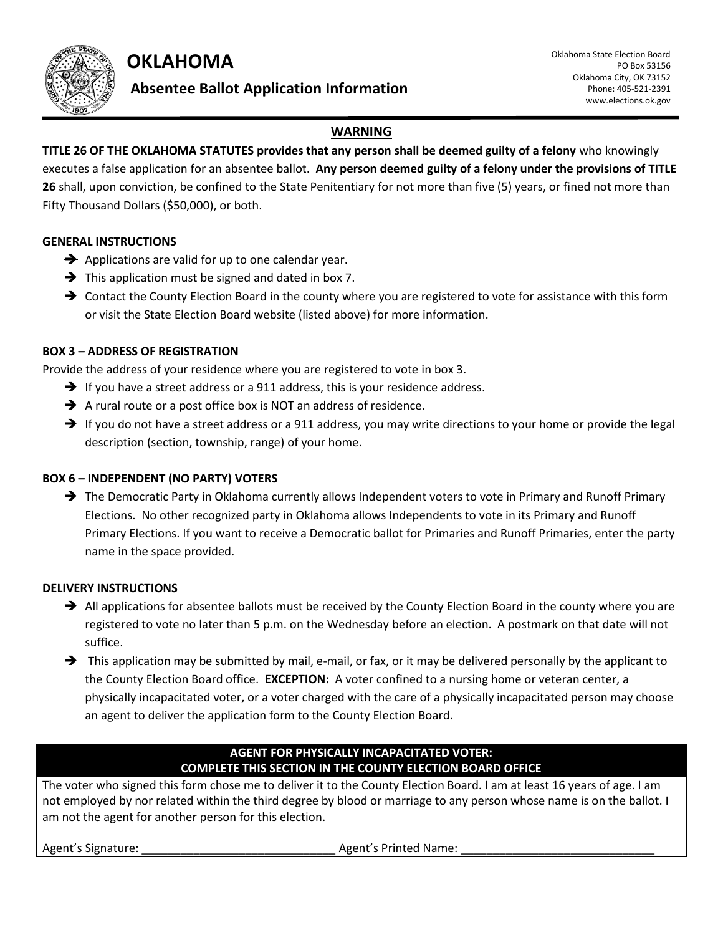**OKLAHOMA** 



# **Absentee Ballot Application Information**

## **WARNING**

**TITLE 26 OF THE OKLAHOMA STATUTES provides that any person shall be deemed guilty of a felony** who knowingly executes a false application for an absentee ballot. **Any person deemed guilty of a felony under the provisions of TITLE 26** shall, upon conviction, be confined to the State Penitentiary for not more than five (5) years, or fined not more than Fifty Thousand Dollars (\$50,000), or both.

#### **GENERAL INSTRUCTIONS**

- $\rightarrow$  Applications are valid for up to one calendar year.
- $\rightarrow$  This application must be signed and dated in box 7.
- → Contact the County Election Board in the county where you are registered to vote for assistance with this form or visit the State Election Board website (listed above) for more information.

## **BOX 3 – ADDRESS OF REGISTRATION**

Provide the address of your residence where you are registered to vote in box 3.

- $\rightarrow$  If you have a street address or a 911 address, this is your residence address.
- $\rightarrow$  A rural route or a post office box is NOT an address of residence.
- $\rightarrow$  If you do not have a street address or a 911 address, you may write directions to your home or provide the legal description (section, township, range) of your home.

#### **BOX 6 – INDEPENDENT (NO PARTY) VOTERS**

→ The Democratic Party in Oklahoma currently allows Independent voters to vote in Primary and Runoff Primary Elections. No other recognized party in Oklahoma allows Independents to vote in its Primary and Runoff Primary Elections. If you want to receive a Democratic ballot for Primaries and Runoff Primaries, enter the party name in the space provided.

#### **DELIVERY INSTRUCTIONS**

- $\rightarrow$  All applications for absentee ballots must be received by the County Election Board in the county where you are registered to vote no later than 5 p.m. on the Wednesday before an election. A postmark on that date will not suffice.
- $\rightarrow$  This application may be submitted by mail, e-mail, or fax, or it may be delivered personally by the applicant to the County Election Board office. **EXCEPTION:** A voter confined to a nursing home or veteran center, a physically incapacitated voter, or a voter charged with the care of a physically incapacitated person may choose an agent to deliver the application form to the County Election Board.

## **AGENT FOR PHYSICALLY INCAPACITATED VOTER: COMPLETE THIS SECTION IN THE COUNTY ELECTION BOARD OFFICE**

The voter who signed this form chose me to deliver it to the County Election Board. I am at least 16 years of age. I am not employed by nor related within the third degree by blood or marriage to any person whose name is on the ballot. I am not the agent for another person for this election.

Agent's Signature: \_\_\_\_\_\_\_\_\_\_\_\_\_\_\_\_\_\_\_\_\_\_\_\_\_\_\_\_\_\_ Agent's Printed Name: \_\_\_\_\_\_\_\_\_\_\_\_\_\_\_\_\_\_\_\_\_\_\_\_\_\_\_\_\_\_